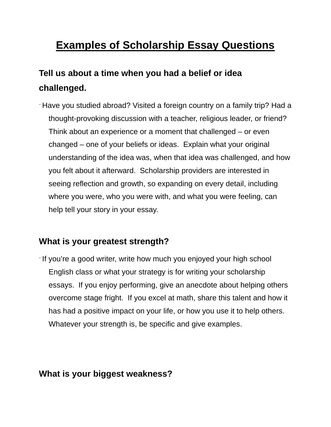# **Examples of Scholarship Essay Questions**

## **Tell us about a time when you had a belief or idea challenged.**

¨ Have you studied abroad? Visited a foreign country on a family trip? Had a thought-provoking discussion with a teacher, religious leader, or friend? Think about an experience or a moment that challenged – or even changed – one of your beliefs or ideas. Explain what your original understanding of the idea was, when that idea was challenged, and how you felt about it afterward. Scholarship providers are interested in seeing reflection and growth, so expanding on every detail, including where you were, who you were with, and what you were feeling, can help tell your story in your essay.

## **What is your greatest strength?**

¨ If you're a good writer, write how much you enjoyed your high school English class or what your strategy is for writing your scholarship essays. If you enjoy performing, give an anecdote about helping others overcome stage fright. If you excel at math, share this talent and how it has had a positive impact on your life, or how you use it to help others. Whatever your strength is, be specific and give examples.

#### **What is your biggest weakness?**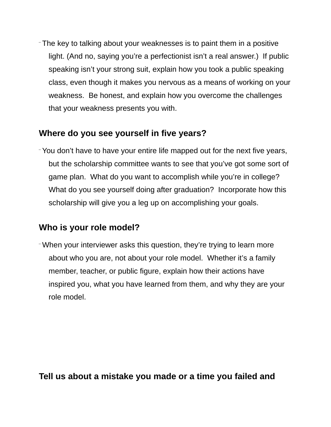¨ The key to talking about your weaknesses is to paint them in a positive light. (And no, saying you're a perfectionist isn't a real answer.) If public speaking isn't your strong suit, explain how you took a public speaking class, even though it makes you nervous as a means of working on your weakness. Be honest, and explain how you overcome the challenges that your weakness presents you with.

### **Where do you see yourself in five years?**

¨ You don't have to have your entire life mapped out for the next five years, but the scholarship committee wants to see that you've got some sort of game plan. What do you want to accomplish while you're in college? What do you see yourself doing after graduation? Incorporate how this scholarship will give you a leg up on accomplishing your goals.

#### **Who is your role model?**

¨ When your interviewer asks this question, they're trying to learn more about who you are, not about your role model. Whether it's a family member, teacher, or public figure, explain how their actions have inspired you, what you have learned from them, and why they are your role model.

**Tell us about a mistake you made or a time you failed and**